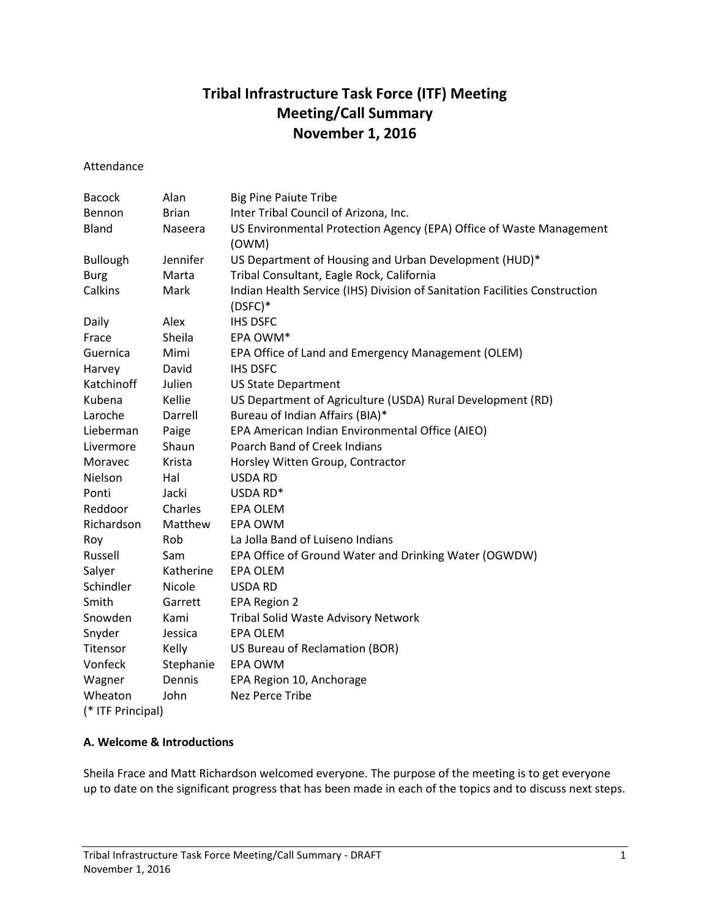# **Tribal Infrastructure Task Force (ITF) Meeting Meeting/Call Summary November 1, 2016**

Attendance

| <b>Bacock</b>     | Alan         | <b>Big Pine Paiute Tribe</b>                                                            |
|-------------------|--------------|-----------------------------------------------------------------------------------------|
| Bennon            | <b>Brian</b> | Inter Tribal Council of Arizona, Inc.                                                   |
| Bland             | Naseera      | US Environmental Protection Agency (EPA) Office of Waste Management                     |
|                   |              | (OWM)                                                                                   |
| <b>Bullough</b>   | Jennifer     | US Department of Housing and Urban Development (HUD)*                                   |
| <b>Burg</b>       | Marta        | Tribal Consultant, Eagle Rock, California                                               |
| Calkins           | Mark         | Indian Health Service (IHS) Division of Sanitation Facilities Construction<br>$(DSFC)*$ |
| Daily             | Alex         | <b>IHS DSFC</b>                                                                         |
| Frace             | Sheila       | EPA OWM*                                                                                |
| Guernica          | Mimi         | EPA Office of Land and Emergency Management (OLEM)                                      |
| Harvey            | David        | <b>IHS DSFC</b>                                                                         |
| Katchinoff        | Julien       | <b>US State Department</b>                                                              |
| Kubena            | Kellie       | US Department of Agriculture (USDA) Rural Development (RD)                              |
| Laroche           | Darrell      | Bureau of Indian Affairs (BIA)*                                                         |
| Lieberman         | Paige        | EPA American Indian Environmental Office (AIEO)                                         |
| Livermore         | Shaun        | Poarch Band of Creek Indians                                                            |
| Moravec           | Krista       | Horsley Witten Group, Contractor                                                        |
| Nielson           | Hal          | <b>USDA RD</b>                                                                          |
| Ponti             | Jacki        | USDA RD*                                                                                |
| Reddoor           | Charles      | <b>EPA OLEM</b>                                                                         |
| Richardson        | Matthew      | EPA OWM                                                                                 |
| Roy               | Rob          | La Jolla Band of Luiseno Indians                                                        |
| Russell           | Sam          | EPA Office of Ground Water and Drinking Water (OGWDW)                                   |
| Salyer            | Katherine    | EPA OLEM                                                                                |
| Schindler         | Nicole       | <b>USDA RD</b>                                                                          |
| Smith             | Garrett      | EPA Region 2                                                                            |
| Snowden           | Kami         | Tribal Solid Waste Advisory Network                                                     |
| Snyder            | Jessica      | <b>EPA OLEM</b>                                                                         |
| Titensor          | Kelly        | US Bureau of Reclamation (BOR)                                                          |
| Vonfeck           | Stephanie    | <b>EPA OWM</b>                                                                          |
| Wagner            | Dennis       | EPA Region 10, Anchorage                                                                |
| Wheaton           | John         | Nez Perce Tribe                                                                         |
| (* ITF Principal) |              |                                                                                         |

### **A. Welcome & Introductions**

Sheila Frace and Matt Richardson welcomed everyone. The purpose of the meeting is to get everyone up to date on the significant progress that has been made in each of the topics and to discuss next steps.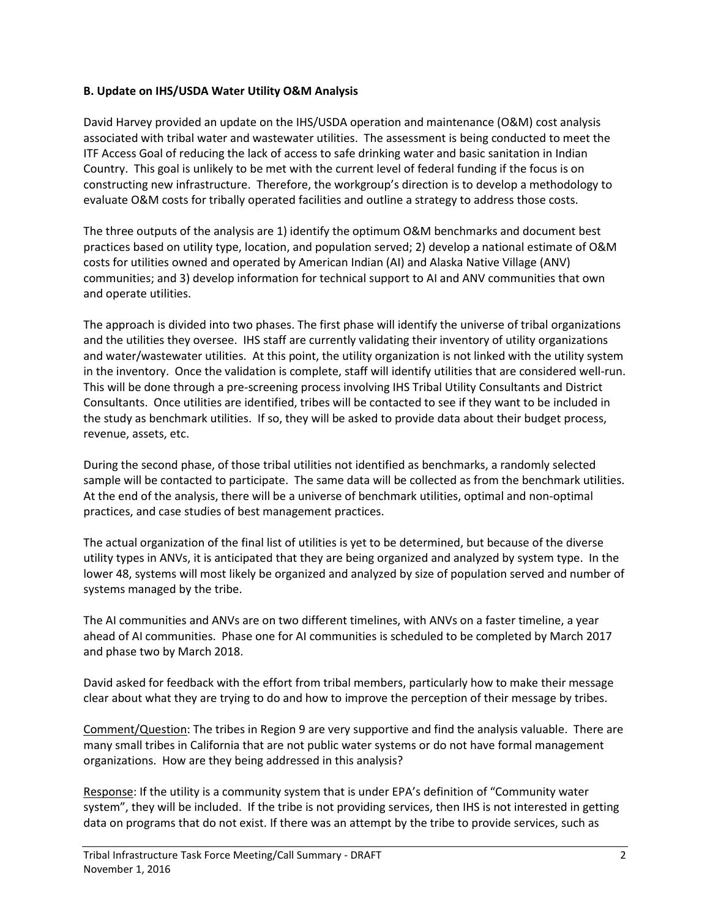#### **B. Update on IHS/USDA Water Utility O&M Analysis**

David Harvey provided an update on the IHS/USDA operation and maintenance (O&M) cost analysis associated with tribal water and wastewater utilities. The assessment is being conducted to meet the ITF Access Goal of reducing the lack of access to safe drinking water and basic sanitation in Indian Country. This goal is unlikely to be met with the current level of federal funding if the focus is on constructing new infrastructure. Therefore, the workgroup's direction is to develop a methodology to evaluate O&M costs for tribally operated facilities and outline a strategy to address those costs.

The three outputs of the analysis are 1) identify the optimum O&M benchmarks and document best practices based on utility type, location, and population served; 2) develop a national estimate of O&M costs for utilities owned and operated by American Indian (AI) and Alaska Native Village (ANV) communities; and 3) develop information for technical support to AI and ANV communities that own and operate utilities.

The approach is divided into two phases. The first phase will identify the universe of tribal organizations and the utilities they oversee. IHS staff are currently validating their inventory of utility organizations and water/wastewater utilities. At this point, the utility organization is not linked with the utility system in the inventory. Once the validation is complete, staff will identify utilities that are considered well-run. This will be done through a pre-screening process involving IHS Tribal Utility Consultants and District Consultants. Once utilities are identified, tribes will be contacted to see if they want to be included in the study as benchmark utilities. If so, they will be asked to provide data about their budget process, revenue, assets, etc.

During the second phase, of those tribal utilities not identified as benchmarks, a randomly selected sample will be contacted to participate. The same data will be collected as from the benchmark utilities. At the end of the analysis, there will be a universe of benchmark utilities, optimal and non-optimal practices, and case studies of best management practices.

The actual organization of the final list of utilities is yet to be determined, but because of the diverse utility types in ANVs, it is anticipated that they are being organized and analyzed by system type. In the lower 48, systems will most likely be organized and analyzed by size of population served and number of systems managed by the tribe.

The AI communities and ANVs are on two different timelines, with ANVs on a faster timeline, a year ahead of AI communities. Phase one for AI communities is scheduled to be completed by March 2017 and phase two by March 2018.

David asked for feedback with the effort from tribal members, particularly how to make their message clear about what they are trying to do and how to improve the perception of their message by tribes.

Comment/Question: The tribes in Region 9 are very supportive and find the analysis valuable. There are many small tribes in California that are not public water systems or do not have formal management organizations. How are they being addressed in this analysis?

Response: If the utility is a community system that is under EPA's definition of "Community water system", they will be included. If the tribe is not providing services, then IHS is not interested in getting data on programs that do not exist. If there was an attempt by the tribe to provide services, such as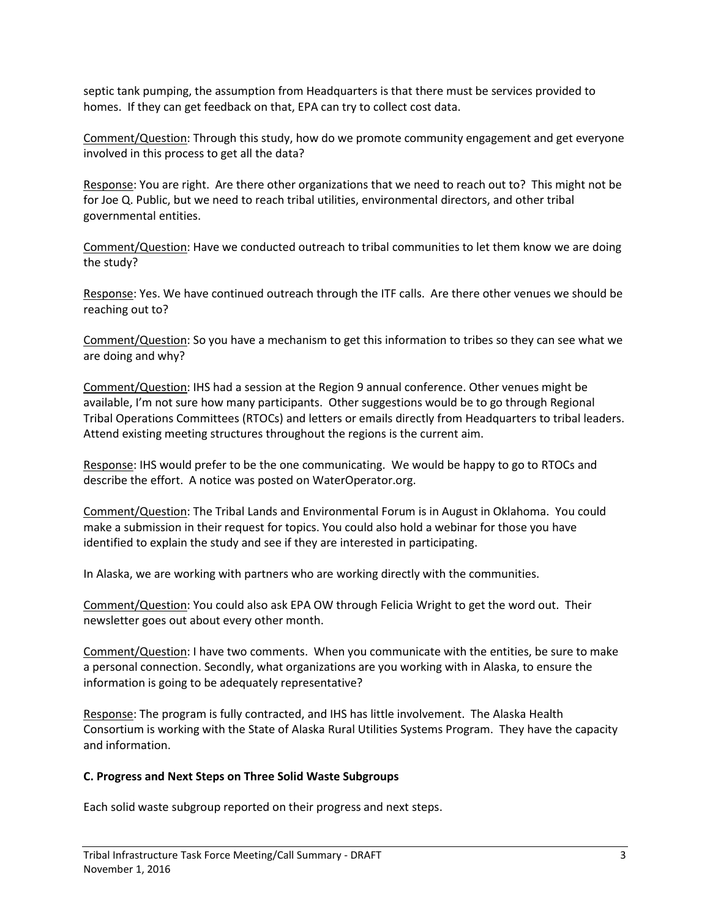septic tank pumping, the assumption from Headquarters is that there must be services provided to homes. If they can get feedback on that, EPA can try to collect cost data.

Comment/Question: Through this study, how do we promote community engagement and get everyone involved in this process to get all the data?

Response: You are right. Are there other organizations that we need to reach out to? This might not be for Joe Q. Public, but we need to reach tribal utilities, environmental directors, and other tribal governmental entities.

Comment/Question: Have we conducted outreach to tribal communities to let them know we are doing the study?

Response: Yes. We have continued outreach through the ITF calls. Are there other venues we should be reaching out to?

Comment/Question: So you have a mechanism to get this information to tribes so they can see what we are doing and why?

Comment/Question: IHS had a session at the Region 9 annual conference. Other venues might be available, I'm not sure how many participants. Other suggestions would be to go through Regional Tribal Operations Committees (RTOCs) and letters or emails directly from Headquarters to tribal leaders. Attend existing meeting structures throughout the regions is the current aim.

Response: IHS would prefer to be the one communicating. We would be happy to go to RTOCs and describe the effort. A notice was posted on WaterOperator.org.

Comment/Question: The Tribal Lands and Environmental Forum is in August in Oklahoma. You could make a submission in their request for topics. You could also hold a webinar for those you have identified to explain the study and see if they are interested in participating.

In Alaska, we are working with partners who are working directly with the communities.

Comment/Question: You could also ask EPA OW through Felicia Wright to get the word out. Their newsletter goes out about every other month.

Comment/Question: I have two comments. When you communicate with the entities, be sure to make a personal connection. Secondly, what organizations are you working with in Alaska, to ensure the information is going to be adequately representative?

Response: The program is fully contracted, and IHS has little involvement. The Alaska Health Consortium is working with the State of Alaska Rural Utilities Systems Program. They have the capacity and information.

### **C. Progress and Next Steps on Three Solid Waste Subgroups**

Each solid waste subgroup reported on their progress and next steps.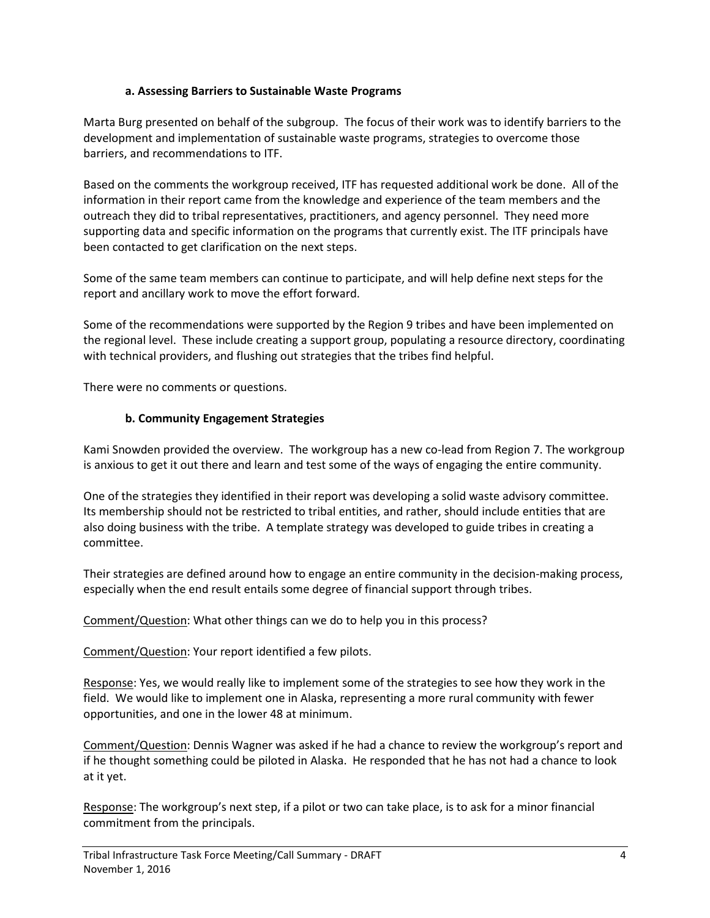### **a. Assessing Barriers to Sustainable Waste Programs**

Marta Burg presented on behalf of the subgroup. The focus of their work was to identify barriers to the development and implementation of sustainable waste programs, strategies to overcome those barriers, and recommendations to ITF.

Based on the comments the workgroup received, ITF has requested additional work be done. All of the information in their report came from the knowledge and experience of the team members and the outreach they did to tribal representatives, practitioners, and agency personnel. They need more supporting data and specific information on the programs that currently exist. The ITF principals have been contacted to get clarification on the next steps.

Some of the same team members can continue to participate, and will help define next steps for the report and ancillary work to move the effort forward.

Some of the recommendations were supported by the Region 9 tribes and have been implemented on the regional level. These include creating a support group, populating a resource directory, coordinating with technical providers, and flushing out strategies that the tribes find helpful.

There were no comments or questions.

## **b. Community Engagement Strategies**

Kami Snowden provided the overview. The workgroup has a new co-lead from Region 7. The workgroup is anxious to get it out there and learn and test some of the ways of engaging the entire community.

One of the strategies they identified in their report was developing a solid waste advisory committee. Its membership should not be restricted to tribal entities, and rather, should include entities that are also doing business with the tribe. A template strategy was developed to guide tribes in creating a committee.

Their strategies are defined around how to engage an entire community in the decision-making process, especially when the end result entails some degree of financial support through tribes.

Comment/Question: What other things can we do to help you in this process?

Comment/Question: Your report identified a few pilots.

Response: Yes, we would really like to implement some of the strategies to see how they work in the field. We would like to implement one in Alaska, representing a more rural community with fewer opportunities, and one in the lower 48 at minimum.

Comment/Question: Dennis Wagner was asked if he had a chance to review the workgroup's report and if he thought something could be piloted in Alaska. He responded that he has not had a chance to look at it yet.

Response: The workgroup's next step, if a pilot or two can take place, is to ask for a minor financial commitment from the principals.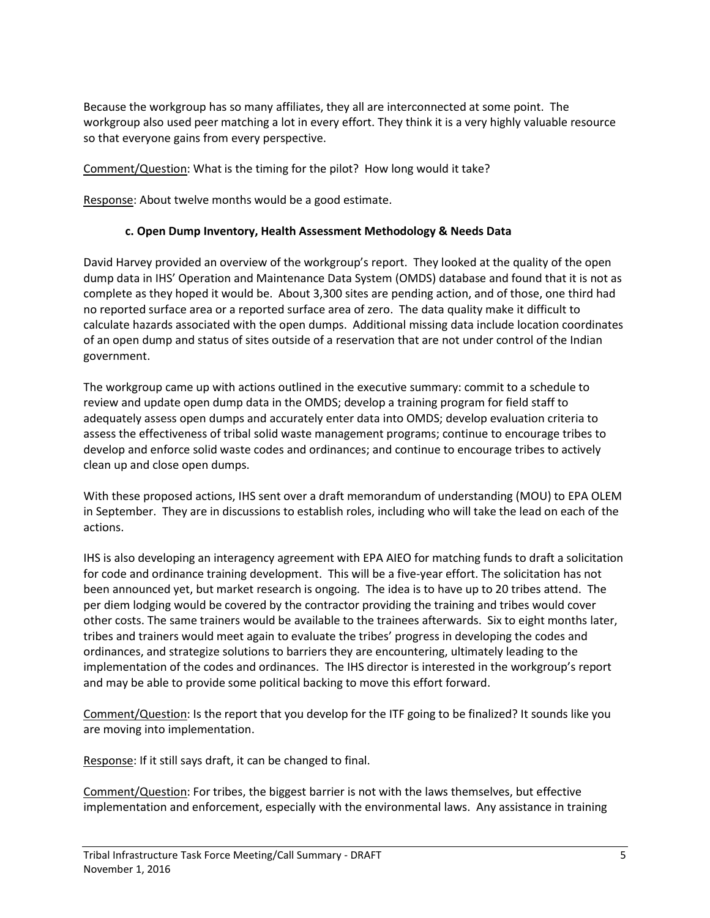Because the workgroup has so many affiliates, they all are interconnected at some point. The workgroup also used peer matching a lot in every effort. They think it is a very highly valuable resource so that everyone gains from every perspective.

Comment/Question: What is the timing for the pilot? How long would it take?

Response: About twelve months would be a good estimate.

## **c. Open Dump Inventory, Health Assessment Methodology & Needs Data**

David Harvey provided an overview of the workgroup's report. They looked at the quality of the open dump data in IHS' Operation and Maintenance Data System (OMDS) database and found that it is not as complete as they hoped it would be. About 3,300 sites are pending action, and of those, one third had no reported surface area or a reported surface area of zero. The data quality make it difficult to calculate hazards associated with the open dumps. Additional missing data include location coordinates of an open dump and status of sites outside of a reservation that are not under control of the Indian government.

The workgroup came up with actions outlined in the executive summary: commit to a schedule to review and update open dump data in the OMDS; develop a training program for field staff to adequately assess open dumps and accurately enter data into OMDS; develop evaluation criteria to assess the effectiveness of tribal solid waste management programs; continue to encourage tribes to develop and enforce solid waste codes and ordinances; and continue to encourage tribes to actively clean up and close open dumps.

With these proposed actions, IHS sent over a draft memorandum of understanding (MOU) to EPA OLEM in September. They are in discussions to establish roles, including who will take the lead on each of the actions.

IHS is also developing an interagency agreement with EPA AIEO for matching funds to draft a solicitation for code and ordinance training development. This will be a five-year effort. The solicitation has not been announced yet, but market research is ongoing. The idea is to have up to 20 tribes attend. The per diem lodging would be covered by the contractor providing the training and tribes would cover other costs. The same trainers would be available to the trainees afterwards. Six to eight months later, tribes and trainers would meet again to evaluate the tribes' progress in developing the codes and ordinances, and strategize solutions to barriers they are encountering, ultimately leading to the implementation of the codes and ordinances. The IHS director is interested in the workgroup's report and may be able to provide some political backing to move this effort forward.

Comment/Question: Is the report that you develop for the ITF going to be finalized? It sounds like you are moving into implementation.

Response: If it still says draft, it can be changed to final.

Comment/Question: For tribes, the biggest barrier is not with the laws themselves, but effective implementation and enforcement, especially with the environmental laws. Any assistance in training